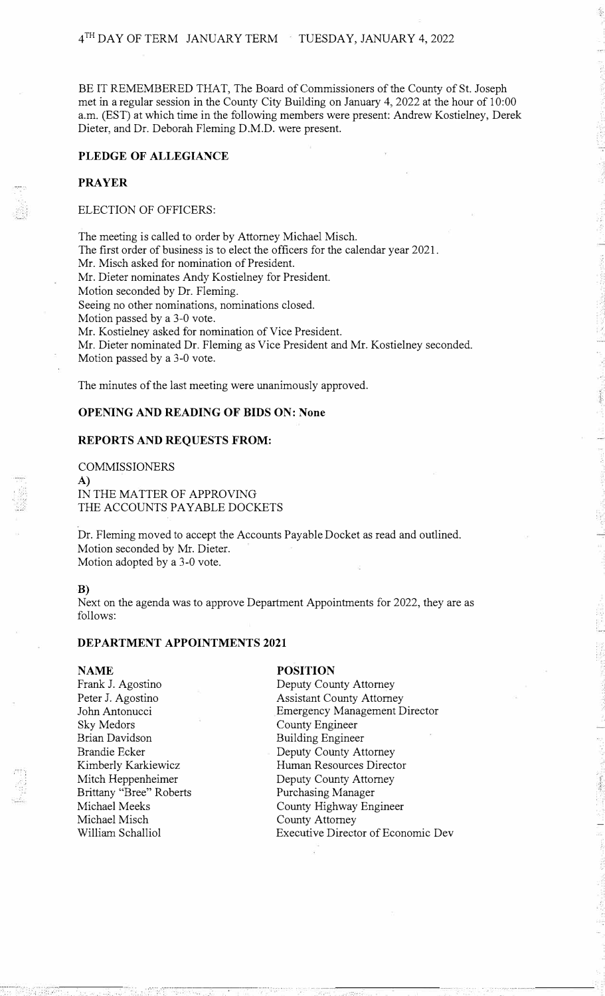BE IT REMEMBERED THAT, The Board of Commissioners of the County of St. Joseph met in a regular session in the County City Building on January 4, 2022 at the hour of 10:00 a.m. (EST) at which time in the following members were present: Andrew Kostielney, Derek Dieter, and Dr. Deborah Fleming D.M.D. were present.

## **PLEDGE OF ALLEGIANCE**

## **PRAYER**

## ELECTION OF OFFICERS:

The meeting is called to order by Attorney Michael Misch. The first order of business is to elect the officers for the calendar year 2021. Mr. Misch asked for nomination of President. Mr. Dieter nominates Andy Kostielney for President. Motion seconded by Dr. Fleming. Seeing no other nominations, nominations closed. Motion passed by a 3-0 vote. Mr. Kostielney asked for nomination of Vice President. Mr. Dieter nominated Dr. Fleming as Vice President and Mr. Kostielney seconded. Motion passed by a 3-0 vote.

The minutes of the last meeting were unanimously approved.

#### **OPENING AND READING OF BIDS ON: None**

#### **REPORTS AND REQUESTS FROM:**

COMMISSIONERS A) IN THE MATTER OF APPROVING THE ACCOUNTS PAYABLE DOCKETS

Dr. Fleming moved to accept the Accounts Payable Docket as read and outlined. Motion seconded by Mr. Dieter. Motion adopted by a 3-0 vote.

#### **B)**

Next on the agenda was to approve Department Appointments for 2022, they are as follows:

## **DEPARTMENT APPOINTMENTS 2021**

#### **NAME**

Frank J. Agostino Peter J. Agostino John Antonucci Sky Medors Brian Davidson Brandie Ecker Kimberly Karkiewicz Mitch Heppenheimer Brittany "Bree" Roberts Michael Meeks Michael Misch William Schalliol

#### **POSITION**

Deputy County Attorney Assistant County Attorney Emergency Management Director County Engineer Building Engineer Deputy County Attorney Human Resources Director Deputy County Attorney Purchasing Manager County Highway Engineer County Attorney Executive Director of Economic Dev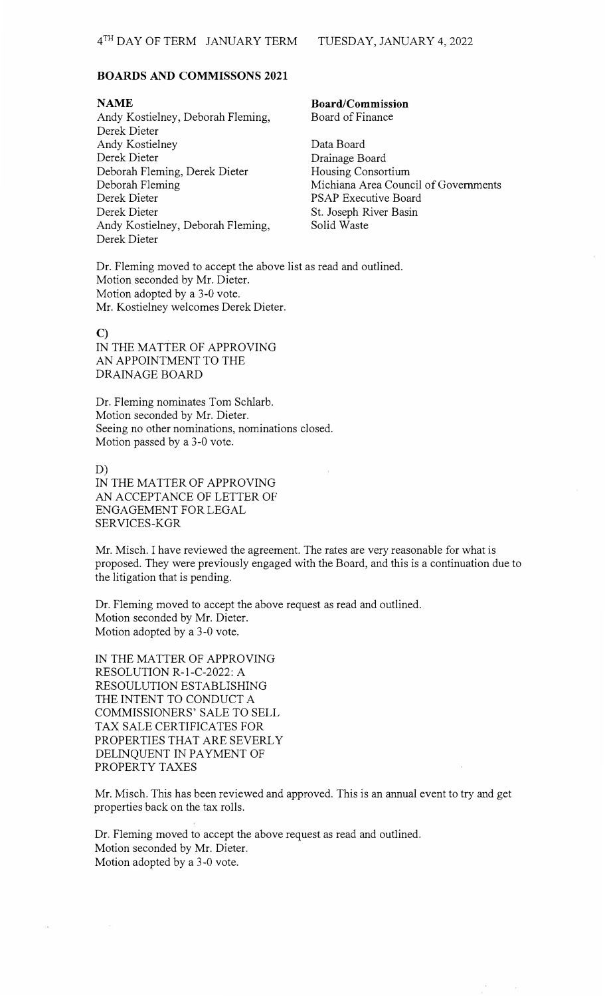#### **BOARDS AND COMMISSONS 2021**

## **NAME**

Andy Kostielney, Deborah Fleming, Derek Dieter Andy Kostielney Derek Dieter Deborah Fleming, Derek Dieter Deborah Fleming Derek Dieter Derek Dieter Andy Kostielney, Deborah Fleming, Derek Dieter

## **Board/Commission**  Board of Finance

Data Board Drainage Board Housing Consortium Michiana Area Council of Governments PSAP Executive Board St. Joseph River Basin Solid Waste

Dr. Fleming moved to accept the above list as read and outlined. Motion seconded by Mr. Dieter. Motion adopted by a 3-0 vote. Mr. Kostielney welcomes Derek Dieter.

## **C)**

IN THE MATTER OF APPROVING AN APPOINTMENT TO THE DRAINAGE BOARD

Dr. Fleming nominates Tom Schlarb. Motion seconded by Mr. Dieter. Seeing no other nominations, nominations closed. Motion passed by a 3-0 vote.

D)

IN THE MATTER OF APPROVING AN ACCEPTANCE OF LETTER OF ENGAGEMENT FOR LEGAL SERVICES-KOR

Mr. Misch. I have reviewed the agreement. The rates are very reasonable for what is proposed. They were previously engaged with the Board, and this is a continuation due to the litigation that is pending.

Dr. Fleming moved to accept the above request as read and outlined. Motion seconded by Mr. Dieter. Motion adopted by a 3-0 vote.

IN THE MATTER OF APPROVING RESOLUTION R-l-C-2022: A RESOULUTION ESTABLISHING THE INTENT TO CONDUCT A COMMISSIONERS' SALE TO SELL TAX SALE CERTIFICATES FOR PROPERTIES THAT ARE SEVERLY DELINQUENT IN PAYMENT OF PROPERTY TAXES

Mr. Misch. This has been reviewed and approved. This is an annual event to try and get properties back on the tax rolls.

Dr. Fleming moved to accept the above request as read and outlined. Motion seconded by Mr. Dieter. Motion adopted by a 3-0 vote.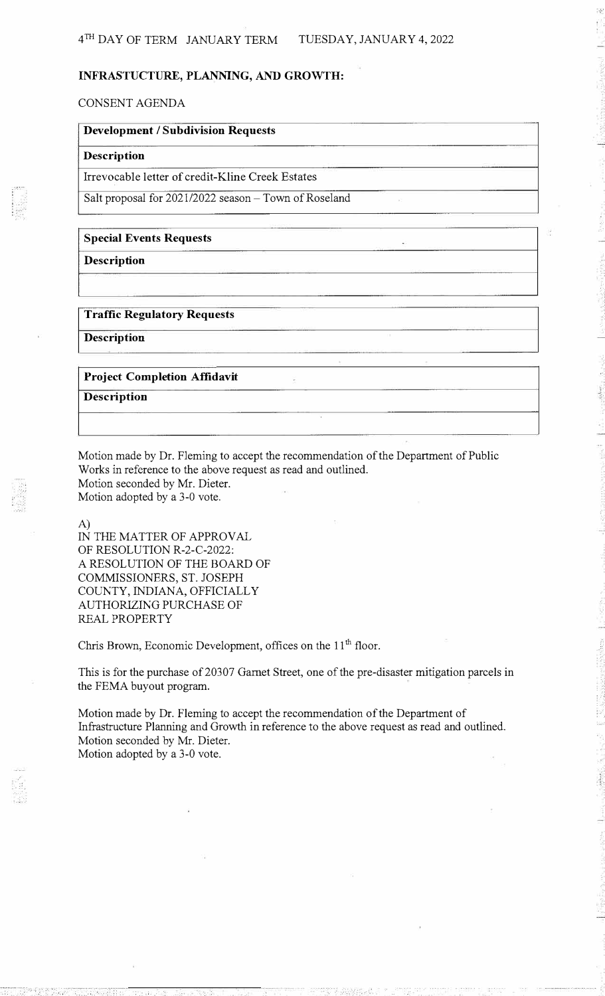## **INFRASTUCTURE, PLANNING, AND GROWTH:**

CONSENT AGENDA

# **Development/ Subdivision Requests Description**

Irrevocable letter of credit-Kline Creek Estates

Salt proposal for 2021/2022 season- Town of Roseland

## **Special Events Requests**

**Description** 

## **Traffic Regulatory Requests**

**Description** 

## **Project Completion Affidavit Description**

Motion made by Dr. Fleming to accept the recommendation of the Department of Public Works in reference to the above request as read and outlined. Motion seconded by Mr. Dieter. Motion adopted by a 3-0 vote.

A)

IN THE MATTER OF APPROVAL OF RESOLUTION R-2-C-2022: A RESOLUTION OF THE BOARD OF COMMISSIONERS, ST. JOSEPH COUNTY, INDIANA, OFFICIALLY AUTHORIZING PURCHASE OF REAL PROPERTY

Chris Brown, Economic Development, offices on the 11<sup>th</sup> floor.

This is for the purchase of 20307 Garnet Street, one of the pre-disaster mitigation parcels in the FEMA buyout program.

Motion made by Dr. Fleming to accept the recommendation of the Department of Infrastructure Planning and Growth in reference to the above request as read and outlined. Motion seconded by Mr. Dieter. Motion adopted by a 3-0 vote.